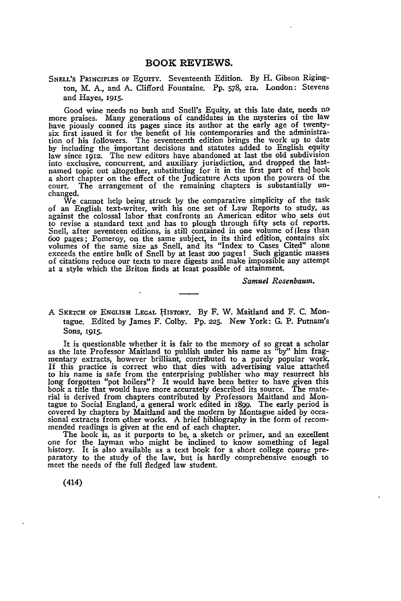## **BOOK REVIEWS.**

## SNELL'S PRINCIPLES **OF** EQUITY. Seventeenth Edition. **By** H. Gibson Rigington, M. **A.,** and **A.** Clifford Fountaine. Pp. 578, 21a. London: Stevens and Hayes, **1915.**

Good wine needs no bush and Snell's Equity, at this late date, needs no more praises. Many generations of candidates in the mysteries of the law<br>have piously conned its pages since its author at the early age of twenty-<br>six first issued it for the benefit of his contemporaries and the administ tion of his followers. The seventeenth edition brings the work up to date **by** including the important decisions and statutes added to English equity law since 1912. The new editors have abandoned at last the old subdivision into exclusive, concurrent, and auxiliary jurisdiction, and dropped the last-named topic out altogether, substituting for it in the first part of the) book a short chapter on the effect of the Judicature Acts upon the powers of the court. The arrangement of the remaining chapters is substantially un-The arrangement of the remaining chapters is substantially un-

changed. We cannot help being struck **by** the comparative simplicity of the task of an English text-writer, with his one set of Law Reports to study, as against the colossal labor that confronts an American editor who sets out<br>to revise a standard text and has to plough through fifty sets of reports.<br>Snell, after seventeen editions, is still contained in one volume of (les 6oo pages; Pomeroy, on the same subject, in its third edition, contains six volumes of the same size as Snell, and its "Index to Cases Cited" alone exceeds the entire bulk of Snell by at least 2oo pages! Such gigantic masses of citations reduce our texts to mere digests and make impossible any attempt at a style which the Briton finds at least possible of attainment.

*Samuel Rosenbaum.*

A SKETCH **OF** ENGLISH **LEGAL** HISTORY. **By** F. W. Maitland and F. **C.** Montague. Edited by James F. Colby. Pp. **225.** New York: G. P. Putnam's Sons, 1915.

It is questionable whether it is fair to the memory of so great a scholar as the late Professor Maitland to publish under his name as "by" him fragmentary extracts, however brilliant, contributed to a purely popular work. If this practice is correct who that dies with advertising value attached to his name is safe from the enterprising publisher who may resurrect his long forgotten "pot boilers"? It would have been better to have given this book a title that would have more accurately described its source. The mate-rial is derived from chapters contributed **by** Professors Maitland and Montague to Social England, a general work edited in 1899. The early period is covered **by** chapters by Maitland and the modern by Montague aided by occasional extracts from other works. A brief bibliography in the form of recommended readings is given at the end of each chapter.

The book is, as it purports to be, a sketch or primer, and an excellent one for the layman who might be inclined to know something of legal history. It is also available as a text book for a short college course preparatory to the study of the law, but is hardly comprehensive enough to meet the needs of fhe full fledged law student.

(414)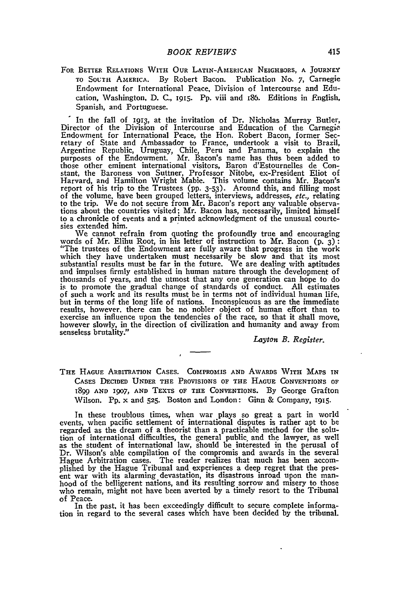FOR BETTER RELATIONS WITH OUR LATIN-AmERICAN NEIGHBORS, A JOURNEY TO SOUTH AMERICA. By Robert Bacon. Publication No. 7, Carnegie Endowment for International Peace, Division of Intercourse and Education, Washington, D. C., 1915. Pp. viii and 186. Editions in English, Spanish, and Portuguese.

In the fall of **1913,** at the invitation of Dr. Nicholas Murray Butler, Director of the Division of Intercourse and Education of the Carnegie Endowment for International Peace, the Hon. Robert Bacon, former Secretary of State and Ambassador to France, undertook a visit to Brazil, Argentine Republic, Uruguay, Chile, Peru and Panama, to explain the purposes of the Endowment. Mr. Bacon's name has thus been added to those other eminent international visitors, Baron d'Estournelles de Con-stant, the Baroness von Suttner, Professor Nitobe, ex-President Eliot of Harvard, and Hamilton Wright Mabie. This volume contains Mr. Bacon's report of his trip to the Trustees (pp. 3-53). Around this, and filling most of the volume, have been grouped letters, interviews, addresses, etc., relating to the trip. We do not secure from Mr. Bacon's report any valuable observations about the countries visited; Mr. Bacon has, necessarily, limited himself to a chronicle of events and a printed acknowledgment of the unusual courtesies extended him.

We cannot refrain from quoting the profoundly true and encouraging words of Mr. Elihu Root, in his letter of instruction to Mr. Bacon (p. 3): "The trustees of the Endowment are fully aware that progress in the work which they have undertaken must necessarily be slow and that its most substantial results must be far in the future. We are dealing with aptitudes and impulses firmly established in human nature through the development of thousands of years, and the utmost that any one generation can hope to do is to promote the gradual change of standards of conduct. All estimates of such a work and its results must be in terms not of individual human life, but in terms of the long life of nations. Inconspicuous as are the immediate results, however, there can be no nobler object of human effort than to exercise an influence upon the tendencies of the race, so that it shall move, however slowly, in the direction of civilization and humanity and away from senseless brutality."

THE HAGUE ARBITRATION CASES. COMPROMIS AND AWARDS WITH **MAPS IN CASES DECIDED** UNDER THE PROVISIONS **OF** THE HAGUE CONVENTIONS **OF 1899 AND** 1907, **AND** TEXTS **OF** THE CONVENTIONS. By George Grafton Wilson. **Pp.** x and **525.** Boston and London: Ginn & Company, 1915.

In these troublous times, when war plays so great a part in world events, when pacific settlement of international disputes is rather apt to be regarded as the dream of a theorist than a practicable method for the solution of international difficulties, the general public and the lawyer, as well as the student of international law, should be interested in the perusal of Dr. Wilson's able compilation of the compromis and awards in the several Hague Arbitration cases. The reader realizes that much has been accomplished by the Hague Tribunal and experiences a deep regret that the present war with its alarming devastation, its disastrous inroad upon the manhood of the belligerent nations, and its resulting sorrow and misery to those who remain, might not have been averted by a timely resort to the Tribunal of Peace.

In the past, it has been exceedingly difficult to secure complete information in regard to the several cases which have been decided **by** the tribunal.